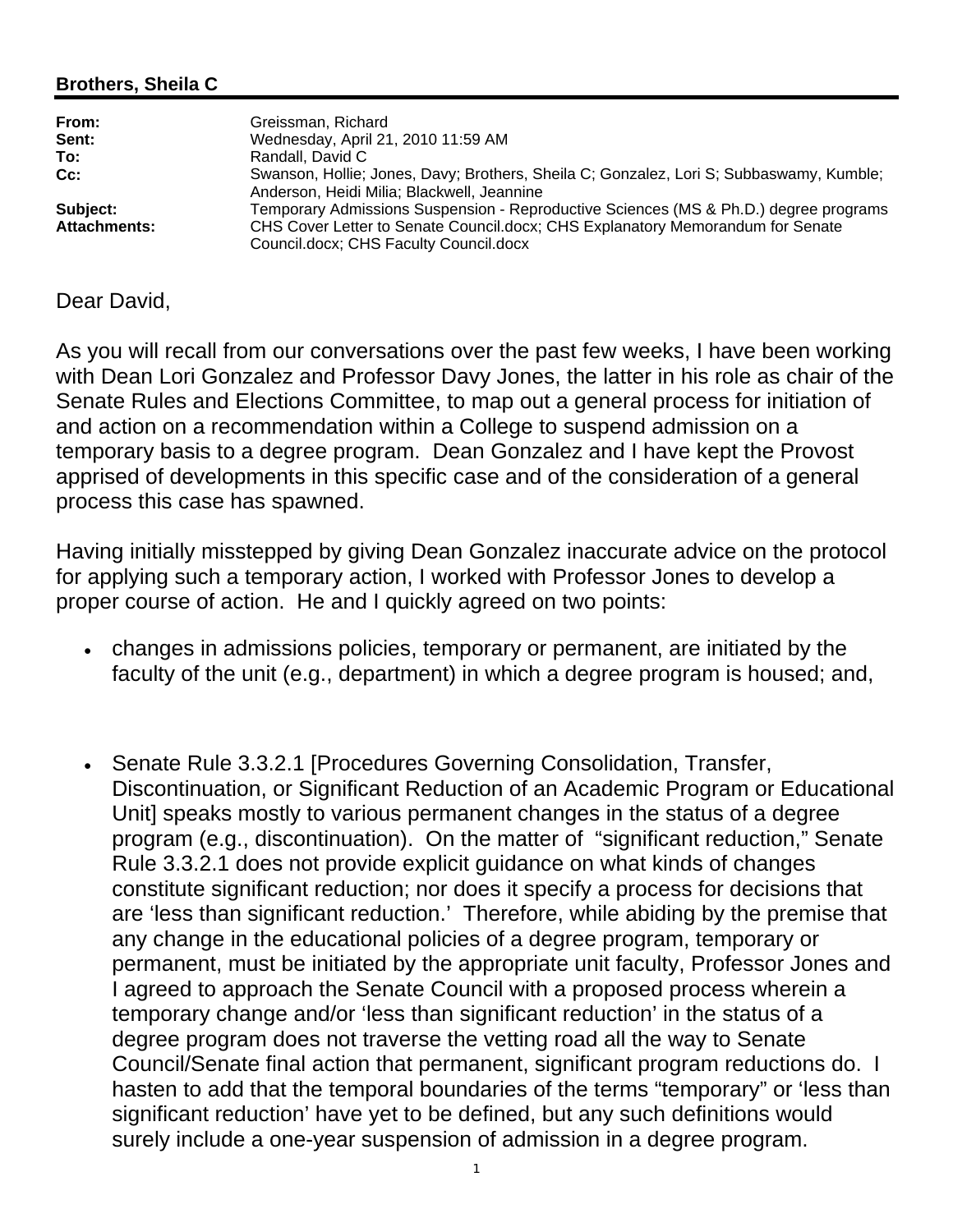## **Brothers, Sheila C**

| From:               | Greissman, Richard                                                                      |
|---------------------|-----------------------------------------------------------------------------------------|
| Sent:               | Wednesday, April 21, 2010 11:59 AM                                                      |
| To:                 | Randall, David C                                                                        |
| $Cc$ :              | Swanson, Hollie; Jones, Davy; Brothers, Sheila C; Gonzalez, Lori S; Subbaswamy, Kumble; |
|                     | Anderson, Heidi Milia; Blackwell, Jeannine                                              |
| Subject:            | Temporary Admissions Suspension - Reproductive Sciences (MS & Ph.D.) degree programs    |
| <b>Attachments:</b> | CHS Cover Letter to Senate Council docx; CHS Explanatory Memorandum for Senate          |
|                     | Council.docx; CHS Faculty Council.docx                                                  |

## Dear David,

As you will recall from our conversations over the past few weeks, I have been working with Dean Lori Gonzalez and Professor Davy Jones, the latter in his role as chair of the Senate Rules and Elections Committee, to map out a general process for initiation of and action on a recommendation within a College to suspend admission on a temporary basis to a degree program. Dean Gonzalez and I have kept the Provost apprised of developments in this specific case and of the consideration of a general process this case has spawned.

Having initially misstepped by giving Dean Gonzalez inaccurate advice on the protocol for applying such a temporary action, I worked with Professor Jones to develop a proper course of action. He and I quickly agreed on two points:

- changes in admissions policies, temporary or permanent, are initiated by the faculty of the unit (e.g., department) in which a degree program is housed; and,
- Senate Rule 3.3.2.1 [Procedures Governing Consolidation, Transfer, Discontinuation, or Significant Reduction of an Academic Program or Educational Unit] speaks mostly to various permanent changes in the status of a degree program (e.g., discontinuation). On the matter of "significant reduction," Senate Rule 3.3.2.1 does not provide explicit guidance on what kinds of changes constitute significant reduction; nor does it specify a process for decisions that are 'less than significant reduction.' Therefore, while abiding by the premise that any change in the educational policies of a degree program, temporary or permanent, must be initiated by the appropriate unit faculty, Professor Jones and I agreed to approach the Senate Council with a proposed process wherein a temporary change and/or 'less than significant reduction' in the status of a degree program does not traverse the vetting road all the way to Senate Council/Senate final action that permanent, significant program reductions do. I hasten to add that the temporal boundaries of the terms "temporary" or 'less than significant reduction' have yet to be defined, but any such definitions would surely include a one-year suspension of admission in a degree program.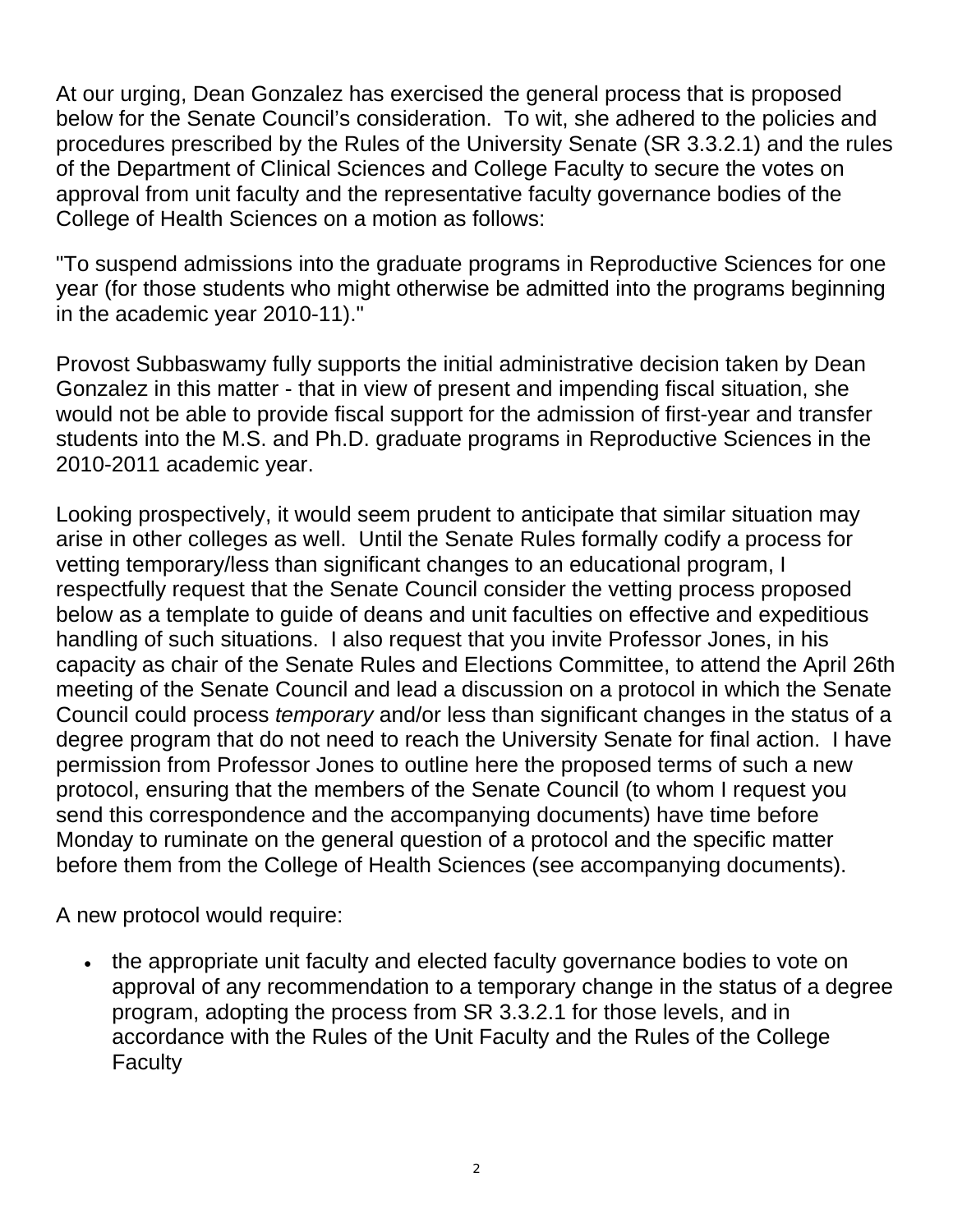At our urging, Dean Gonzalez has exercised the general process that is proposed below for the Senate Council's consideration. To wit, she adhered to the policies and procedures prescribed by the Rules of the University Senate (SR 3.3.2.1) and the rules of the Department of Clinical Sciences and College Faculty to secure the votes on approval from unit faculty and the representative faculty governance bodies of the College of Health Sciences on a motion as follows:

"To suspend admissions into the graduate programs in Reproductive Sciences for one year (for those students who might otherwise be admitted into the programs beginning in the academic year 2010-11)."

Provost Subbaswamy fully supports the initial administrative decision taken by Dean Gonzalez in this matter - that in view of present and impending fiscal situation, she would not be able to provide fiscal support for the admission of first-year and transfer students into the M.S. and Ph.D. graduate programs in Reproductive Sciences in the 2010-2011 academic year.

Looking prospectively, it would seem prudent to anticipate that similar situation may arise in other colleges as well. Until the Senate Rules formally codify a process for vetting temporary/less than significant changes to an educational program, I respectfully request that the Senate Council consider the vetting process proposed below as a template to guide of deans and unit faculties on effective and expeditious handling of such situations. I also request that you invite Professor Jones, in his capacity as chair of the Senate Rules and Elections Committee, to attend the April 26th meeting of the Senate Council and lead a discussion on a protocol in which the Senate Council could process *temporary* and/or less than significant changes in the status of a degree program that do not need to reach the University Senate for final action. I have permission from Professor Jones to outline here the proposed terms of such a new protocol, ensuring that the members of the Senate Council (to whom I request you send this correspondence and the accompanying documents) have time before Monday to ruminate on the general question of a protocol and the specific matter before them from the College of Health Sciences (see accompanying documents).

A new protocol would require:

• the appropriate unit faculty and elected faculty governance bodies to vote on approval of any recommendation to a temporary change in the status of a degree program, adopting the process from SR 3.3.2.1 for those levels, and in accordance with the Rules of the Unit Faculty and the Rules of the College **Faculty**